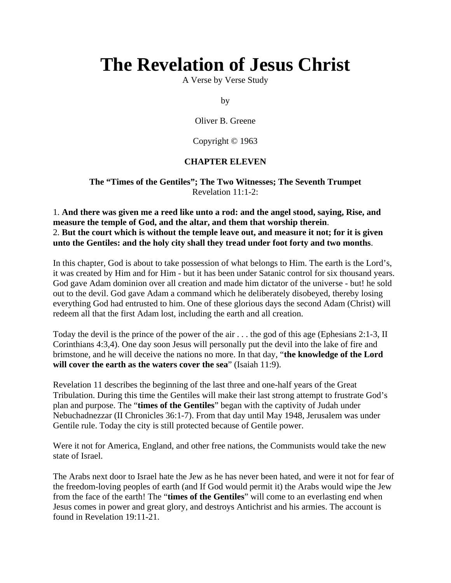# **The Revelation of Jesus Christ**

A Verse by Verse Study

by

Oliver B. Greene

Copyright © 1963

## **CHAPTER ELEVEN**

**The "Times of the Gentiles"; The Two Witnesses; The Seventh Trumpet** Revelation 11:1-2:

1. **And there was given me a reed like unto a rod: and the angel stood, saying, Rise, and measure the temple of God, and the altar, and them that worship therein**. 2. **But the court which is without the temple leave out, and measure it not; for it is given unto the Gentiles: and the holy city shall they tread under foot forty and two months**.

In this chapter, God is about to take possession of what belongs to Him. The earth is the Lord's, it was created by Him and for Him - but it has been under Satanic control for six thousand years. God gave Adam dominion over all creation and made him dictator of the universe - but! he sold out to the devil. God gave Adam a command which he deliberately disobeyed, thereby losing everything God had entrusted to him. One of these glorious days the second Adam (Christ) will redeem all that the first Adam lost, including the earth and all creation.

Today the devil is the prince of the power of the air . . . the god of this age (Ephesians 2:1-3, II Corinthians 4:3,4). One day soon Jesus will personally put the devil into the lake of fire and brimstone, and he will deceive the nations no more. In that day, "**the knowledge of the Lord will cover the earth as the waters cover the sea**" (Isaiah 11:9).

Revelation 11 describes the beginning of the last three and one-half years of the Great Tribulation. During this time the Gentiles will make their last strong attempt to frustrate God's plan and purpose. The "**times of the Gentiles**" began with the captivity of Judah under Nebuchadnezzar (II Chronicles 36:1-7). From that day until May 1948, Jerusalem was under Gentile rule. Today the city is still protected because of Gentile power.

Were it not for America, England, and other free nations, the Communists would take the new state of Israel.

The Arabs next door to Israel hate the Jew as he has never been hated, and were it not for fear of the freedom-loving peoples of earth (and If God would permit it) the Arabs would wipe the Jew from the face of the earth! The "**times of the Gentiles**" will come to an everlasting end when Jesus comes in power and great glory, and destroys Antichrist and his armies. The account is found in Revelation 19:11-21.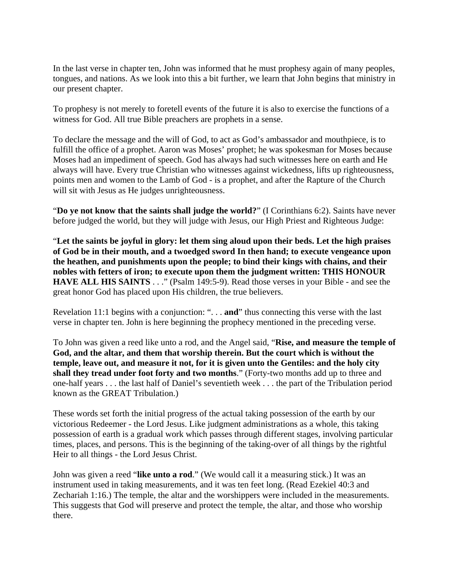In the last verse in chapter ten, John was informed that he must prophesy again of many peoples, tongues, and nations. As we look into this a bit further, we learn that John begins that ministry in our present chapter.

To prophesy is not merely to foretell events of the future it is also to exercise the functions of a witness for God. All true Bible preachers are prophets in a sense.

To declare the message and the will of God, to act as God's ambassador and mouthpiece, is to fulfill the office of a prophet. Aaron was Moses' prophet; he was spokesman for Moses because Moses had an impediment of speech. God has always had such witnesses here on earth and He always will have. Every true Christian who witnesses against wickedness, lifts up righteousness, points men and women to the Lamb of God - is a prophet, and after the Rapture of the Church will sit with Jesus as He judges unrighteousness.

"**Do ye not know that the saints shall judge the world?**" (I Corinthians 6:2). Saints have never before judged the world, but they will judge with Jesus, our High Priest and Righteous Judge:

"**Let the saints be joyful in glory: let them sing aloud upon their beds. Let the high praises of God be in their mouth, and a twoedged sword In then hand; to execute vengeance upon the heathen, and punishments upon the people; to bind their kings with chains, and their nobles with fetters of iron; to execute upon them the judgment written: THIS HONOUR HAVE ALL HIS SAINTS** . . ." (Psalm 149:5-9). Read those verses in your Bible - and see the great honor God has placed upon His children, the true believers.

Revelation 11:1 begins with a conjunction: ". . . **and**" thus connecting this verse with the last verse in chapter ten. John is here beginning the prophecy mentioned in the preceding verse.

To John was given a reed like unto a rod, and the Angel said, "**Rise, and measure the temple of God, and the altar, and them that worship therein. But the court which is without the temple, leave out, and measure it not, for it is given unto the Gentiles: and the holy city shall they tread under foot forty and two months**." (Forty-two months add up to three and one-half years . . . the last half of Daniel's seventieth week . . . the part of the Tribulation period known as the GREAT Tribulation.)

These words set forth the initial progress of the actual taking possession of the earth by our victorious Redeemer - the Lord Jesus. Like judgment administrations as a whole, this taking possession of earth is a gradual work which passes through different stages, involving particular times, places, and persons. This is the beginning of the taking-over of all things by the rightful Heir to all things - the Lord Jesus Christ.

John was given a reed "**like unto a rod**." (We would call it a measuring stick.) It was an instrument used in taking measurements, and it was ten feet long. (Read Ezekiel 40:3 and Zechariah 1:16.) The temple, the altar and the worshippers were included in the measurements. This suggests that God will preserve and protect the temple, the altar, and those who worship there.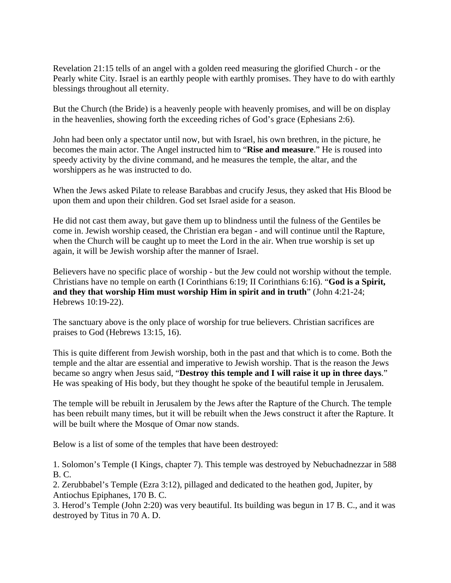Revelation 21:15 tells of an angel with a golden reed measuring the glorified Church - or the Pearly white City. Israel is an earthly people with earthly promises. They have to do with earthly blessings throughout all eternity.

But the Church (the Bride) is a heavenly people with heavenly promises, and will be on display in the heavenlies, showing forth the exceeding riches of God's grace (Ephesians 2:6).

John had been only a spectator until now, but with Israel, his own brethren, in the picture, he becomes the main actor. The Angel instructed him to "**Rise and measure**." He is roused into speedy activity by the divine command, and he measures the temple, the altar, and the worshippers as he was instructed to do.

When the Jews asked Pilate to release Barabbas and crucify Jesus, they asked that His Blood be upon them and upon their children. God set Israel aside for a season.

He did not cast them away, but gave them up to blindness until the fulness of the Gentiles be come in. Jewish worship ceased, the Christian era began - and will continue until the Rapture, when the Church will be caught up to meet the Lord in the air. When true worship is set up again, it will be Jewish worship after the manner of Israel.

Believers have no specific place of worship - but the Jew could not worship without the temple. Christians have no temple on earth (I Corinthians 6:19; II Corinthians 6:16). "**God is a Spirit, and they that worship Him must worship Him in spirit and in truth**" (John 4:21-24; Hebrews 10:19-22).

The sanctuary above is the only place of worship for true believers. Christian sacrifices are praises to God (Hebrews 13:15, 16).

This is quite different from Jewish worship, both in the past and that which is to come. Both the temple and the altar are essential and imperative to Jewish worship. That is the reason the Jews became so angry when Jesus said, "**Destroy this temple and I will raise it up in three days**." He was speaking of His body, but they thought he spoke of the beautiful temple in Jerusalem.

The temple will be rebuilt in Jerusalem by the Jews after the Rapture of the Church. The temple has been rebuilt many times, but it will be rebuilt when the Jews construct it after the Rapture. It will be built where the Mosque of Omar now stands.

Below is a list of some of the temples that have been destroyed:

1. Solomon's Temple (I Kings, chapter 7). This temple was destroyed by Nebuchadnezzar in 588 B. C.

2. Zerubbabel's Temple (Ezra 3:12), pillaged and dedicated to the heathen god, Jupiter, by Antiochus Epiphanes, 170 B. C.

3. Herod's Temple (John 2:20) was very beautiful. Its building was begun in 17 B. C., and it was destroyed by Titus in 70 A. D.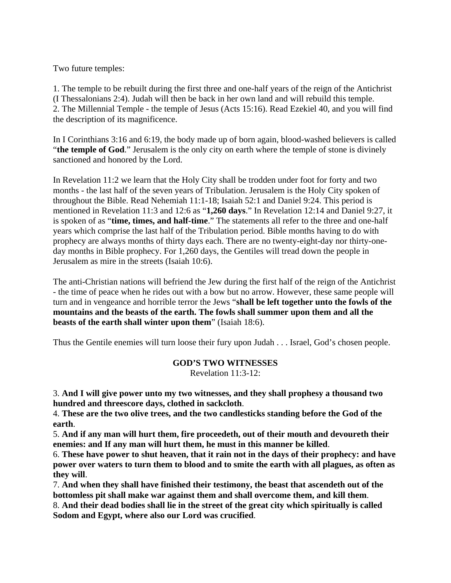Two future temples:

1. The temple to be rebuilt during the first three and one-half years of the reign of the Antichrist (I Thessalonians 2:4). Judah will then be back in her own land and will rebuild this temple. 2. The Millennial Temple - the temple of Jesus (Acts 15:16). Read Ezekiel 40, and you will find the description of its magnificence.

In I Corinthians 3:16 and 6:19, the body made up of born again, blood-washed believers is called "**the temple of God**." Jerusalem is the only city on earth where the temple of stone is divinely sanctioned and honored by the Lord.

In Revelation 11:2 we learn that the Holy City shall be trodden under foot for forty and two months - the last half of the seven years of Tribulation. Jerusalem is the Holy City spoken of throughout the Bible. Read Nehemiah 11:1-18; Isaiah 52:1 and Daniel 9:24. This period is mentioned in Revelation 11:3 and 12:6 as "**1,260 days**." In Revelation 12:14 and Daniel 9:27, it is spoken of as "**time, times, and half-time**." The statements all refer to the three and one-half years which comprise the last half of the Tribulation period. Bible months having to do with prophecy are always months of thirty days each. There are no twenty-eight-day nor thirty-oneday months in Bible prophecy. For 1,260 days, the Gentiles will tread down the people in Jerusalem as mire in the streets (Isaiah 10:6).

The anti-Christian nations will befriend the Jew during the first half of the reign of the Antichrist - the time of peace when he rides out with a bow but no arrow. However, these same people will turn and in vengeance and horrible terror the Jews "**shall be left together unto the fowls of the mountains and the beasts of the earth. The fowls shall summer upon them and all the beasts of the earth shall winter upon them**" (Isaiah 18:6).

Thus the Gentile enemies will turn loose their fury upon Judah . . . Israel, God's chosen people.

**GOD'S TWO WITNESSES**

Revelation 11:3-12:

3. **And I will give power unto my two witnesses, and they shall prophesy a thousand two hundred and threescore days, clothed in sackcloth**.

4. **These are the two olive trees, and the two candlesticks standing before the God of the earth**.

5. **And if any man will hurt them, fire proceedeth, out of their mouth and devoureth their enemies: and If any man will hurt them, he must in this manner be killed**.

6. **These have power to shut heaven, that it rain not in the days of their prophecy: and have power over waters to turn them to blood and to smite the earth with all plagues, as often as they will**.

7. **And when they shall have finished their testimony, the beast that ascendeth out of the bottomless pit shall make war against them and shall overcome them, and kill them**.

8. **And their dead bodies shall lie in the street of the great city which spiritually is called Sodom and Egypt, where also our Lord was crucified**.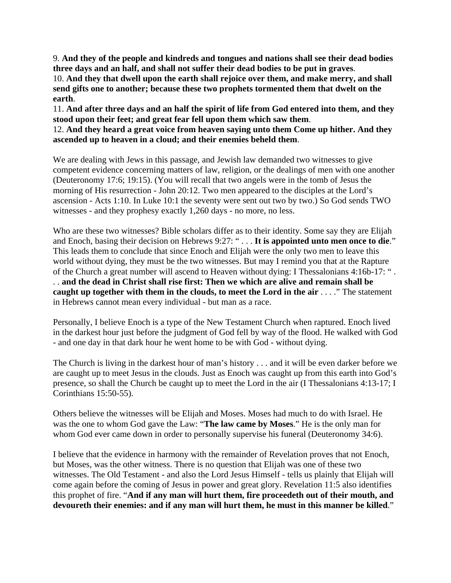9. **And they of the people and kindreds and tongues and nations shall see their dead bodies three days and an half, and shall not suffer their dead bodies to be put in graves**.

10. **And they that dwell upon the earth shall rejoice over them, and make merry, and shall send gifts one to another; because these two prophets tormented them that dwelt on the earth**.

11. **And after three days and an half the spirit of life from God entered into them, and they stood upon their feet; and great fear fell upon them which saw them**.

12. **And they heard a great voice from heaven saying unto them Come up hither. And they ascended up to heaven in a cloud; and their enemies beheld them**.

We are dealing with Jews in this passage, and Jewish law demanded two witnesses to give competent evidence concerning matters of law, religion, or the dealings of men with one another (Deuteronomy 17:6; 19:15). (You will recall that two angels were in the tomb of Jesus the morning of His resurrection - John 20:12. Two men appeared to the disciples at the Lord's ascension - Acts 1:10. In Luke 10:1 the seventy were sent out two by two.) So God sends TWO witnesses - and they prophesy exactly 1,260 days - no more, no less.

Who are these two witnesses? Bible scholars differ as to their identity. Some say they are Elijah and Enoch, basing their decision on Hebrews 9:27: " . . . **It is appointed unto men once to die**." This leads them to conclude that since Enoch and Elijah were the only two men to leave this world without dying, they must be the two witnesses. But may I remind you that at the Rapture of the Church a great number will ascend to Heaven without dying: I Thessalonians 4:16b-17: " . . . **and the dead in Christ shall rise first: Then we which are alive and remain shall be caught up together with them in the clouds, to meet the Lord in the air** . . . ." The statement in Hebrews cannot mean every individual - but man as a race.

Personally, I believe Enoch is a type of the New Testament Church when raptured. Enoch lived in the darkest hour just before the judgment of God fell by way of the flood. He walked with God - and one day in that dark hour he went home to be with God - without dying.

The Church is living in the darkest hour of man's history . . . and it will be even darker before we are caught up to meet Jesus in the clouds. Just as Enoch was caught up from this earth into God's presence, so shall the Church be caught up to meet the Lord in the air (I Thessalonians 4:13-17; I Corinthians 15:50-55).

Others believe the witnesses will be Elijah and Moses. Moses had much to do with Israel. He was the one to whom God gave the Law: "**The law came by Moses**." He is the only man for whom God ever came down in order to personally supervise his funeral (Deuteronomy 34:6).

I believe that the evidence in harmony with the remainder of Revelation proves that not Enoch, but Moses, was the other witness. There is no question that Elijah was one of these two witnesses. The Old Testament - and also the Lord Jesus Himself - tells us plainly that Elijah will come again before the coming of Jesus in power and great glory. Revelation 11:5 also identifies this prophet of fire. "**And if any man will hurt them, fire proceedeth out of their mouth, and devoureth their enemies: and if any man will hurt them, he must in this manner be killed**."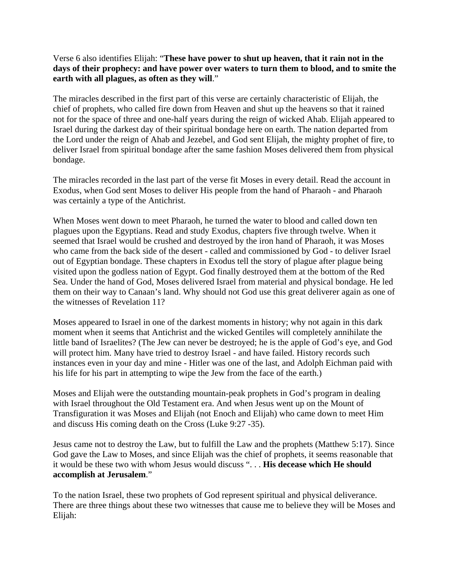## Verse 6 also identifies Elijah: "**These have power to shut up heaven, that it rain not in the days of their prophecy: and have power over waters to turn them to blood, and to smite the earth with all plagues, as often as they will**."

The miracles described in the first part of this verse are certainly characteristic of Elijah, the chief of prophets, who called fire down from Heaven and shut up the heavens so that it rained not for the space of three and one-half years during the reign of wicked Ahab. Elijah appeared to Israel during the darkest day of their spiritual bondage here on earth. The nation departed from the Lord under the reign of Ahab and Jezebel, and God sent Elijah, the mighty prophet of fire, to deliver Israel from spiritual bondage after the same fashion Moses delivered them from physical bondage.

The miracles recorded in the last part of the verse fit Moses in every detail. Read the account in Exodus, when God sent Moses to deliver His people from the hand of Pharaoh - and Pharaoh was certainly a type of the Antichrist.

When Moses went down to meet Pharaoh, he turned the water to blood and called down ten plagues upon the Egyptians. Read and study Exodus, chapters five through twelve. When it seemed that Israel would be crushed and destroyed by the iron hand of Pharaoh, it was Moses who came from the back side of the desert - called and commissioned by God - to deliver Israel out of Egyptian bondage. These chapters in Exodus tell the story of plague after plague being visited upon the godless nation of Egypt. God finally destroyed them at the bottom of the Red Sea. Under the hand of God, Moses delivered Israel from material and physical bondage. He led them on their way to Canaan's land. Why should not God use this great deliverer again as one of the witnesses of Revelation 11?

Moses appeared to Israel in one of the darkest moments in history; why not again in this dark moment when it seems that Antichrist and the wicked Gentiles will completely annihilate the little band of Israelites? (The Jew can never be destroyed; he is the apple of God's eye, and God will protect him. Many have tried to destroy Israel - and have failed. History records such instances even in your day and mine - Hitler was one of the last, and Adolph Eichman paid with his life for his part in attempting to wipe the Jew from the face of the earth.)

Moses and Elijah were the outstanding mountain-peak prophets in God's program in dealing with Israel throughout the Old Testament era. And when Jesus went up on the Mount of Transfiguration it was Moses and Elijah (not Enoch and Elijah) who came down to meet Him and discuss His coming death on the Cross (Luke 9:27 -35).

Jesus came not to destroy the Law, but to fulfill the Law and the prophets (Matthew 5:17). Since God gave the Law to Moses, and since Elijah was the chief of prophets, it seems reasonable that it would be these two with whom Jesus would discuss ". . . **His decease which He should accomplish at Jerusalem**."

To the nation Israel, these two prophets of God represent spiritual and physical deliverance. There are three things about these two witnesses that cause me to believe they will be Moses and Elijah: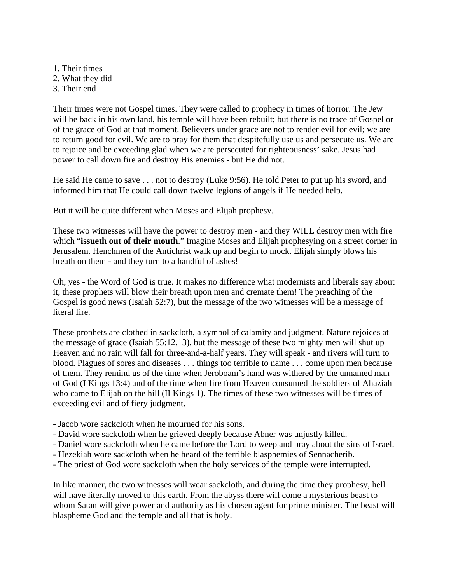1. Their times 2. What they did 3. Their end

Their times were not Gospel times. They were called to prophecy in times of horror. The Jew will be back in his own land, his temple will have been rebuilt; but there is no trace of Gospel or of the grace of God at that moment. Believers under grace are not to render evil for evil; we are to return good for evil. We are to pray for them that despitefully use us and persecute us. We are to rejoice and be exceeding glad when we are persecuted for righteousness' sake. Jesus had power to call down fire and destroy His enemies - but He did not.

He said He came to save . . . not to destroy (Luke 9:56). He told Peter to put up his sword, and informed him that He could call down twelve legions of angels if He needed help.

But it will be quite different when Moses and Elijah prophesy.

These two witnesses will have the power to destroy men - and they WILL destroy men with fire which "**issueth out of their mouth**." Imagine Moses and Elijah prophesying on a street corner in Jerusalem. Henchmen of the Antichrist walk up and begin to mock. Elijah simply blows his breath on them - and they turn to a handful of ashes!

Oh, yes - the Word of God is true. It makes no difference what modernists and liberals say about it, these prophets will blow their breath upon men and cremate them! The preaching of the Gospel is good news (Isaiah 52:7), but the message of the two witnesses will be a message of literal fire.

These prophets are clothed in sackcloth, a symbol of calamity and judgment. Nature rejoices at the message of grace (Isaiah 55:12,13), but the message of these two mighty men will shut up Heaven and no rain will fall for three-and-a-half years. They will speak - and rivers will turn to blood. Plagues of sores and diseases . . . things too terrible to name . . . come upon men because of them. They remind us of the time when Jeroboam's hand was withered by the unnamed man of God (I Kings 13:4) and of the time when fire from Heaven consumed the soldiers of Ahaziah who came to Elijah on the hill (II Kings 1). The times of these two witnesses will be times of exceeding evil and of fiery judgment.

- Jacob wore sackcloth when he mourned for his sons.
- David wore sackcloth when he grieved deeply because Abner was unjustly killed.
- Daniel wore sackcloth when he came before the Lord to weep and pray about the sins of Israel.
- Hezekiah wore sackcloth when he heard of the terrible blasphemies of Sennacherib.
- The priest of God wore sackcloth when the holy services of the temple were interrupted.

In like manner, the two witnesses will wear sackcloth, and during the time they prophesy, hell will have literally moved to this earth. From the abyss there will come a mysterious beast to whom Satan will give power and authority as his chosen agent for prime minister. The beast will blaspheme God and the temple and all that is holy.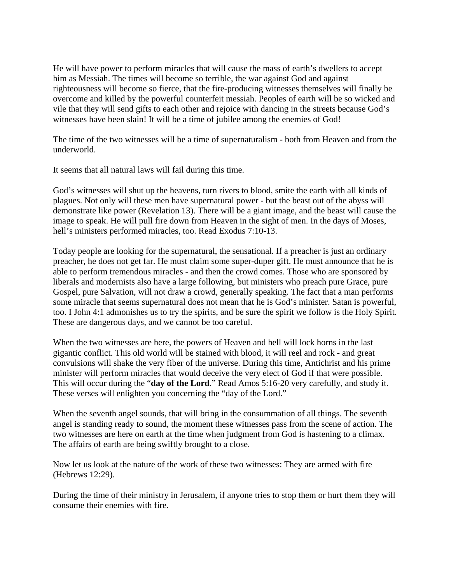He will have power to perform miracles that will cause the mass of earth's dwellers to accept him as Messiah. The times will become so terrible, the war against God and against righteousness will become so fierce, that the fire-producing witnesses themselves will finally be overcome and killed by the powerful counterfeit messiah. Peoples of earth will be so wicked and vile that they will send gifts to each other and rejoice with dancing in the streets because God's witnesses have been slain! It will be a time of jubilee among the enemies of God!

The time of the two witnesses will be a time of supernaturalism - both from Heaven and from the underworld.

It seems that all natural laws will fail during this time.

God's witnesses will shut up the heavens, turn rivers to blood, smite the earth with all kinds of plagues. Not only will these men have supernatural power - but the beast out of the abyss will demonstrate like power (Revelation 13). There will be a giant image, and the beast will cause the image to speak. He will pull fire down from Heaven in the sight of men. In the days of Moses, hell's ministers performed miracles, too. Read Exodus 7:10-13.

Today people are looking for the supernatural, the sensational. If a preacher is just an ordinary preacher, he does not get far. He must claim some super-duper gift. He must announce that he is able to perform tremendous miracles - and then the crowd comes. Those who are sponsored by liberals and modernists also have a large following, but ministers who preach pure Grace, pure Gospel, pure Salvation, will not draw a crowd, generally speaking. The fact that a man performs some miracle that seems supernatural does not mean that he is God's minister. Satan is powerful, too. I John 4:1 admonishes us to try the spirits, and be sure the spirit we follow is the Holy Spirit. These are dangerous days, and we cannot be too careful.

When the two witnesses are here, the powers of Heaven and hell will lock horns in the last gigantic conflict. This old world will be stained with blood, it will reel and rock - and great convulsions will shake the very fiber of the universe. During this time, Antichrist and his prime minister will perform miracles that would deceive the very elect of God if that were possible. This will occur during the "**day of the Lord**." Read Amos 5:16-20 very carefully, and study it. These verses will enlighten you concerning the "day of the Lord."

When the seventh angel sounds, that will bring in the consummation of all things. The seventh angel is standing ready to sound, the moment these witnesses pass from the scene of action. The two witnesses are here on earth at the time when judgment from God is hastening to a climax. The affairs of earth are being swiftly brought to a close.

Now let us look at the nature of the work of these two witnesses: They are armed with fire (Hebrews 12:29).

During the time of their ministry in Jerusalem, if anyone tries to stop them or hurt them they will consume their enemies with fire.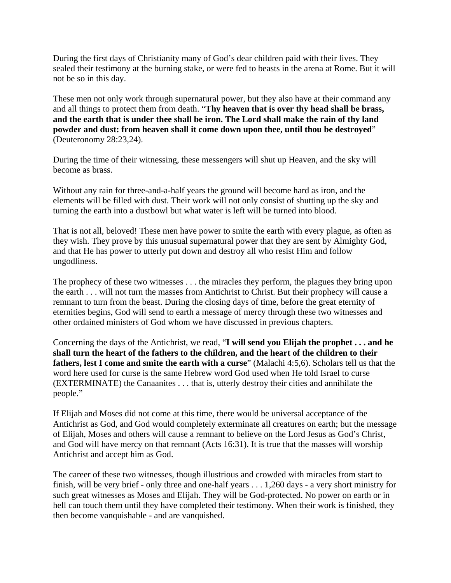During the first days of Christianity many of God's dear children paid with their lives. They sealed their testimony at the burning stake, or were fed to beasts in the arena at Rome. But it will not be so in this day.

These men not only work through supernatural power, but they also have at their command any and all things to protect them from death. "**Thy heaven that is over thy head shall be brass, and the earth that is under thee shall be iron. The Lord shall make the rain of thy land powder and dust: from heaven shall it come down upon thee, until thou be destroyed**" (Deuteronomy 28:23,24).

During the time of their witnessing, these messengers will shut up Heaven, and the sky will become as brass.

Without any rain for three-and-a-half years the ground will become hard as iron, and the elements will be filled with dust. Their work will not only consist of shutting up the sky and turning the earth into a dustbowl but what water is left will be turned into blood.

That is not all, beloved! These men have power to smite the earth with every plague, as often as they wish. They prove by this unusual supernatural power that they are sent by Almighty God, and that He has power to utterly put down and destroy all who resist Him and follow ungodliness.

The prophecy of these two witnesses . . . the miracles they perform, the plagues they bring upon the earth . . . will not turn the masses from Antichrist to Christ. But their prophecy will cause a remnant to turn from the beast. During the closing days of time, before the great eternity of eternities begins, God will send to earth a message of mercy through these two witnesses and other ordained ministers of God whom we have discussed in previous chapters.

Concerning the days of the Antichrist, we read, "**I will send you Elijah the prophet . . . and he shall turn the heart of the fathers to the children, and the heart of the children to their fathers, lest I come and smite the earth with a curse**" (Malachi 4:5,6). Scholars tell us that the word here used for curse is the same Hebrew word God used when He told Israel to curse (EXTERMINATE) the Canaanites . . . that is, utterly destroy their cities and annihilate the people."

If Elijah and Moses did not come at this time, there would be universal acceptance of the Antichrist as God, and God would completely exterminate all creatures on earth; but the message of Elijah, Moses and others will cause a remnant to believe on the Lord Jesus as God's Christ, and God will have mercy on that remnant (Acts 16:31). It is true that the masses will worship Antichrist and accept him as God.

The career of these two witnesses, though illustrious and crowded with miracles from start to finish, will be very brief - only three and one-half years . . . 1,260 days - a very short ministry for such great witnesses as Moses and Elijah. They will be God-protected. No power on earth or in hell can touch them until they have completed their testimony. When their work is finished, they then become vanquishable - and are vanquished.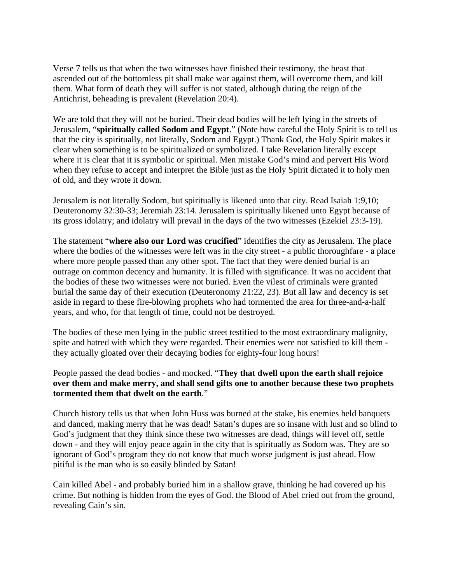Verse 7 tells us that when the two witnesses have finished their testimony, the beast that ascended out of the bottomless pit shall make war against them, will overcome them, and kill them. What form of death they will suffer is not stated, although during the reign of the Antichrist, beheading is prevalent (Revelation 20:4).

We are told that they will not be buried. Their dead bodies will be left lying in the streets of Jerusalem, "**spiritually called Sodom and Egypt**." (Note how careful the Holy Spirit is to tell us that the city is spiritually, not literally, Sodom and Egypt.) Thank God, the Holy Spirit makes it clear when something is to be spiritualized or symbolized. I take Revelation literally except where it is clear that it is symbolic or spiritual. Men mistake God's mind and pervert His Word when they refuse to accept and interpret the Bible just as the Holy Spirit dictated it to holy men of old, and they wrote it down.

Jerusalem is not literally Sodom, but spiritually is likened unto that city. Read Isaiah 1:9,10; Deuteronomy 32:30-33; Jeremiah 23:14. Jerusalem is spiritually likened unto Egypt because of its gross idolatry; and idolatry will prevail in the days of the two witnesses (Ezekiel 23:3-19).

The statement "**where also our Lord was crucified**" identifies the city as Jerusalem. The place where the bodies of the witnesses were left was in the city street - a public thoroughfare - a place where more people passed than any other spot. The fact that they were denied burial is an outrage on common decency and humanity. It is filled with significance. It was no accident that the bodies of these two witnesses were not buried. Even the vilest of criminals were granted burial the same day of their execution (Deuteronomy 21:22, 23). But all law and decency is set aside in regard to these fire-blowing prophets who had tormented the area for three-and-a-half years, and who, for that length of time, could not be destroyed.

The bodies of these men lying in the public street testified to the most extraordinary malignity, spite and hatred with which they were regarded. Their enemies were not satisfied to kill them they actually gloated over their decaying bodies for eighty-four long hours!

## People passed the dead bodies - and mocked. "**They that dwell upon the earth shall rejoice over them and make merry, and shall send gifts one to another because these two prophets tormented them that dwelt on the earth**."

Church history tells us that when John Huss was burned at the stake, his enemies held banquets and danced, making merry that he was dead! Satan's dupes are so insane with lust and so blind to God's judgment that they think since these two witnesses are dead, things will level off, settle down - and they will enjoy peace again in the city that is spiritually as Sodom was. They are so ignorant of God's program they do not know that much worse judgment is just ahead. How pitiful is the man who is so easily blinded by Satan!

Cain killed Abel - and probably buried him in a shallow grave, thinking he had covered up his crime. But nothing is hidden from the eyes of God. the Blood of Abel cried out from the ground, revealing Cain's sin.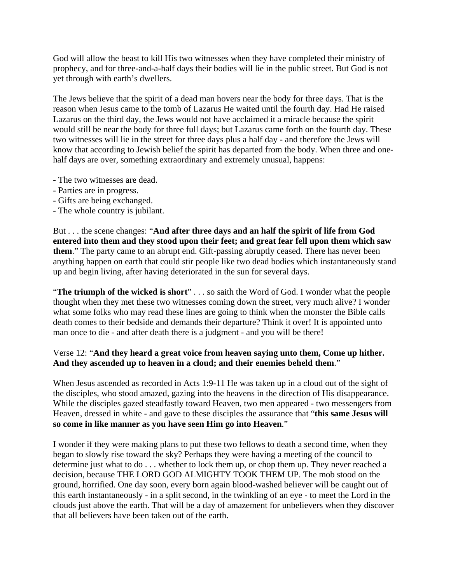God will allow the beast to kill His two witnesses when they have completed their ministry of prophecy, and for three-and-a-half days their bodies will lie in the public street. But God is not yet through with earth's dwellers.

The Jews believe that the spirit of a dead man hovers near the body for three days. That is the reason when Jesus came to the tomb of Lazarus He waited until the fourth day. Had He raised Lazarus on the third day, the Jews would not have acclaimed it a miracle because the spirit would still be near the body for three full days; but Lazarus came forth on the fourth day. These two witnesses will lie in the street for three days plus a half day - and therefore the Jews will know that according to Jewish belief the spirit has departed from the body. When three and onehalf days are over, something extraordinary and extremely unusual, happens:

- The two witnesses are dead.
- Parties are in progress.
- Gifts are being exchanged.
- The whole country is jubilant.

But . . . the scene changes: "**And after three days and an half the spirit of life from God entered into them and they stood upon their feet; and great fear fell upon them which saw them**." The party came to an abrupt end. Gift-passing abruptly ceased. There has never been anything happen on earth that could stir people like two dead bodies which instantaneously stand up and begin living, after having deteriorated in the sun for several days.

"**The triumph of the wicked is short**" . . . so saith the Word of God. I wonder what the people thought when they met these two witnesses coming down the street, very much alive? I wonder what some folks who may read these lines are going to think when the monster the Bible calls death comes to their bedside and demands their departure? Think it over! It is appointed unto man once to die - and after death there is a judgment - and you will be there!

# Verse 12: "**And they heard a great voice from heaven saying unto them, Come up hither. And they ascended up to heaven in a cloud; and their enemies beheld them**."

When Jesus ascended as recorded in Acts 1:9-11 He was taken up in a cloud out of the sight of the disciples, who stood amazed, gazing into the heavens in the direction of His disappearance. While the disciples gazed steadfastly toward Heaven, two men appeared - two messengers from Heaven, dressed in white - and gave to these disciples the assurance that "**this same Jesus will so come in like manner as you have seen Him go into Heaven**."

I wonder if they were making plans to put these two fellows to death a second time, when they began to slowly rise toward the sky? Perhaps they were having a meeting of the council to determine just what to do . . . whether to lock them up, or chop them up. They never reached a decision, because THE LORD GOD ALMIGHTY TOOK THEM UP. The mob stood on the ground, horrified. One day soon, every born again blood-washed believer will be caught out of this earth instantaneously - in a split second, in the twinkling of an eye - to meet the Lord in the clouds just above the earth. That will be a day of amazement for unbelievers when they discover that all believers have been taken out of the earth.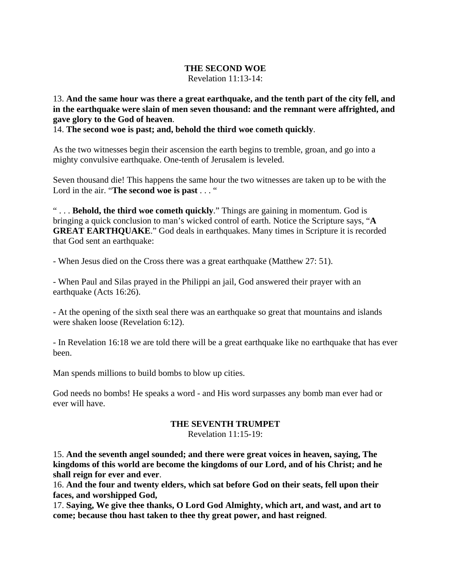### **THE SECOND WOE**

Revelation 11:13-14:

13. **And the same hour was there a great earthquake, and the tenth part of the city fell, and in the earthquake were slain of men seven thousand: and the remnant were affrighted, and gave glory to the God of heaven**.

14. **The second woe is past; and, behold the third woe cometh quickly**.

As the two witnesses begin their ascension the earth begins to tremble, groan, and go into a mighty convulsive earthquake. One-tenth of Jerusalem is leveled.

Seven thousand die! This happens the same hour the two witnesses are taken up to be with the Lord in the air. "**The second woe is past** . . . "

" . . . **Behold, the third woe cometh quickly**." Things are gaining in momentum. God is bringing a quick conclusion to man's wicked control of earth. Notice the Scripture says, "**A GREAT EARTHQUAKE**." God deals in earthquakes. Many times in Scripture it is recorded that God sent an earthquake:

- When Jesus died on the Cross there was a great earthquake (Matthew 27: 51).

- When Paul and Silas prayed in the Philippi an jail, God answered their prayer with an earthquake (Acts 16:26).

- At the opening of the sixth seal there was an earthquake so great that mountains and islands were shaken loose (Revelation 6:12).

- In Revelation 16:18 we are told there will be a great earthquake like no earthquake that has ever been.

Man spends millions to build bombs to blow up cities.

God needs no bombs! He speaks a word - and His word surpasses any bomb man ever had or ever will have.

# **THE SEVENTH TRUMPET**

Revelation 11:15-19:

15. **And the seventh angel sounded; and there were great voices in heaven, saying, The kingdoms of this world are become the kingdoms of our Lord, and of his Christ; and he shall reign for ever and ever**.

16. **And the four and twenty elders, which sat before God on their seats, fell upon their faces, and worshipped God,**

17. **Saying, We give thee thanks, O Lord God Almighty, which art, and wast, and art to come; because thou hast taken to thee thy great power, and hast reigned**.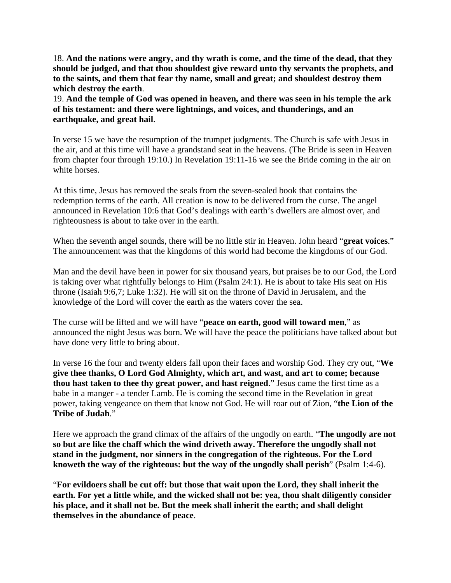18. **And the nations were angry, and thy wrath is come, and the time of the dead, that they should be judged, and that thou shouldest give reward unto thy servants the prophets, and to the saints, and them that fear thy name, small and great; and shouldest destroy them which destroy the earth**.

19. **And the temple of God was opened in heaven, and there was seen in his temple the ark of his testament: and there were lightnings, and voices, and thunderings, and an earthquake, and great hail**.

In verse 15 we have the resumption of the trumpet judgments. The Church is safe with Jesus in the air, and at this time will have a grandstand seat in the heavens. (The Bride is seen in Heaven from chapter four through 19:10.) In Revelation 19:11-16 we see the Bride coming in the air on white horses.

At this time, Jesus has removed the seals from the seven-sealed book that contains the redemption terms of the earth. All creation is now to be delivered from the curse. The angel announced in Revelation 10:6 that God's dealings with earth's dwellers are almost over, and righteousness is about to take over in the earth.

When the seventh angel sounds, there will be no little stir in Heaven. John heard "**great voices**." The announcement was that the kingdoms of this world had become the kingdoms of our God.

Man and the devil have been in power for six thousand years, but praises be to our God, the Lord is taking over what rightfully belongs to Him (Psalm 24:1). He is about to take His seat on His throne (Isaiah 9:6,7; Luke 1:32). He will sit on the throne of David in Jerusalem, and the knowledge of the Lord will cover the earth as the waters cover the sea.

The curse will be lifted and we will have "**peace on earth, good will toward men**," as announced the night Jesus was born. We will have the peace the politicians have talked about but have done very little to bring about.

In verse 16 the four and twenty elders fall upon their faces and worship God. They cry out, "**We give thee thanks, O Lord God Almighty, which art, and wast, and art to come; because thou hast taken to thee thy great power, and hast reigned**." Jesus came the first time as a babe in a manger - a tender Lamb. He is coming the second time in the Revelation in great power, taking vengeance on them that know not God. He will roar out of Zion, "**the Lion of the Tribe of Judah**."

Here we approach the grand climax of the affairs of the ungodly on earth. "**The ungodly are not so but are like the chaff which the wind driveth away. Therefore the ungodly shall not stand in the judgment, nor sinners in the congregation of the righteous. For the Lord knoweth the way of the righteous: but the way of the ungodly shall perish**" (Psalm 1:4-6).

"**For evildoers shall be cut off: but those that wait upon the Lord, they shall inherit the earth. For yet a little while, and the wicked shall not be: yea, thou shalt diligently consider his place, and it shall not be. But the meek shall inherit the earth; and shall delight themselves in the abundance of peace**.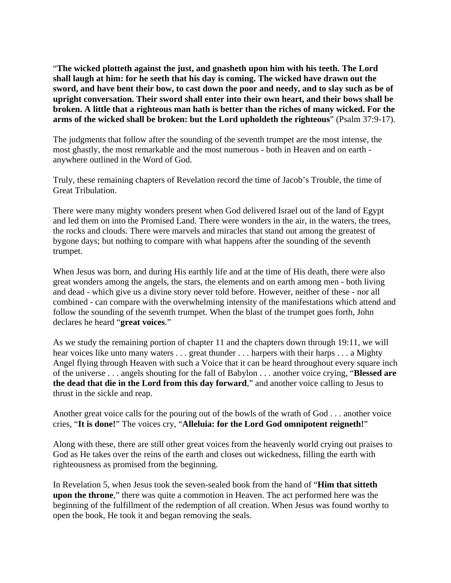"**The wicked plotteth against the just, and gnasheth upon him with his teeth. The Lord shall laugh at him: for he seeth that his day is coming. The wicked have drawn out the sword, and have bent their bow, to cast down the poor and needy, and to slay such as be of upright conversation. Their sword shall enter into their own heart, and their bows shall be broken. A little that a righteous man hath is better than the riches of many wicked. For the arms of the wicked shall be broken: but the Lord upholdeth the righteous**" (Psalm 37:9-17).

The judgments that follow after the sounding of the seventh trumpet are the most intense, the most ghastly, the most remarkable and the most numerous - both in Heaven and on earth anywhere outlined in the Word of God.

Truly, these remaining chapters of Revelation record the time of Jacob's Trouble, the time of Great Tribulation.

There were many mighty wonders present when God delivered Israel out of the land of Egypt and led them on into the Promised Land. There were wonders in the air, in the waters, the trees, the rocks and clouds. There were marvels and miracles that stand out among the greatest of bygone days; but nothing to compare with what happens after the sounding of the seventh trumpet.

When Jesus was born, and during His earthly life and at the time of His death, there were also great wonders among the angels, the stars, the elements and on earth among men - both living and dead - which give us a divine story never told before. However, neither of these - nor all combined - can compare with the overwhelming intensity of the manifestations which attend and follow the sounding of the seventh trumpet. When the blast of the trumpet goes forth, John declares he heard "**great voices**."

As we study the remaining portion of chapter 11 and the chapters down through 19:11, we will hear voices like unto many waters . . . great thunder . . . harpers with their harps . . . a Mighty Angel flying through Heaven with such a Voice that it can be heard throughout every square inch of the universe . . . angels shouting for the fall of Babylon . . . another voice crying, "**Blessed are the dead that die in the Lord from this day forward**," and another voice calling to Jesus to thrust in the sickle and reap.

Another great voice calls for the pouring out of the bowls of the wrath of God . . . another voice cries, "**It is done!**" The voices cry, "**Alleluia: for the Lord God omnipotent reigneth!**"

Along with these, there are still other great voices from the heavenly world crying out praises to God as He takes over the reins of the earth and closes out wickedness, filling the earth with righteousness as promised from the beginning.

In Revelation 5, when Jesus took the seven-sealed book from the hand of "**Him that sitteth upon the throne**," there was quite a commotion in Heaven. The act performed here was the beginning of the fulfillment of the redemption of all creation. When Jesus was found worthy to open the book, He took it and began removing the seals.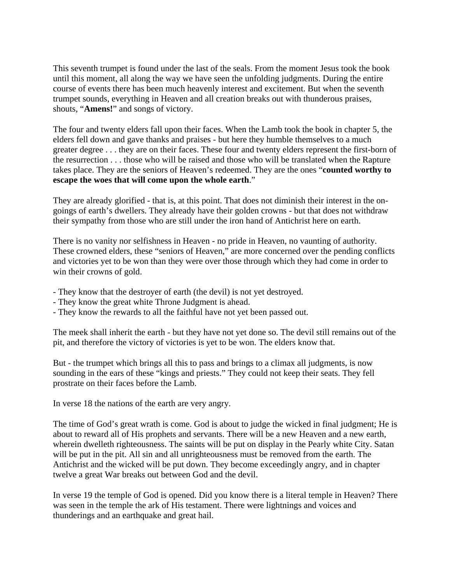This seventh trumpet is found under the last of the seals. From the moment Jesus took the book until this moment, all along the way we have seen the unfolding judgments. During the entire course of events there has been much heavenly interest and excitement. But when the seventh trumpet sounds, everything in Heaven and all creation breaks out with thunderous praises, shouts, "**Amens!**" and songs of victory.

The four and twenty elders fall upon their faces. When the Lamb took the book in chapter 5, the elders fell down and gave thanks and praises - but here they humble themselves to a much greater degree . . . they are on their faces. These four and twenty elders represent the first-born of the resurrection . . . those who will be raised and those who will be translated when the Rapture takes place. They are the seniors of Heaven's redeemed. They are the ones "**counted worthy to escape the woes that will come upon the whole earth**."

They are already glorified - that is, at this point. That does not diminish their interest in the ongoings of earth's dwellers. They already have their golden crowns - but that does not withdraw their sympathy from those who are still under the iron hand of Antichrist here on earth.

There is no vanity nor selfishness in Heaven - no pride in Heaven, no vaunting of authority. These crowned elders, these "seniors of Heaven," are more concerned over the pending conflicts and victories yet to be won than they were over those through which they had come in order to win their crowns of gold.

- They know that the destroyer of earth (the devil) is not yet destroyed.
- They know the great white Throne Judgment is ahead.
- They know the rewards to all the faithful have not yet been passed out.

The meek shall inherit the earth - but they have not yet done so. The devil still remains out of the pit, and therefore the victory of victories is yet to be won. The elders know that.

But - the trumpet which brings all this to pass and brings to a climax all judgments, is now sounding in the ears of these "kings and priests." They could not keep their seats. They fell prostrate on their faces before the Lamb.

In verse 18 the nations of the earth are very angry.

The time of God's great wrath is come. God is about to judge the wicked in final judgment; He is about to reward all of His prophets and servants. There will be a new Heaven and a new earth, wherein dwelleth righteousness. The saints will be put on display in the Pearly white City. Satan will be put in the pit. All sin and all unrighteousness must be removed from the earth. The Antichrist and the wicked will be put down. They become exceedingly angry, and in chapter twelve a great War breaks out between God and the devil.

In verse 19 the temple of God is opened. Did you know there is a literal temple in Heaven? There was seen in the temple the ark of His testament. There were lightnings and voices and thunderings and an earthquake and great hail.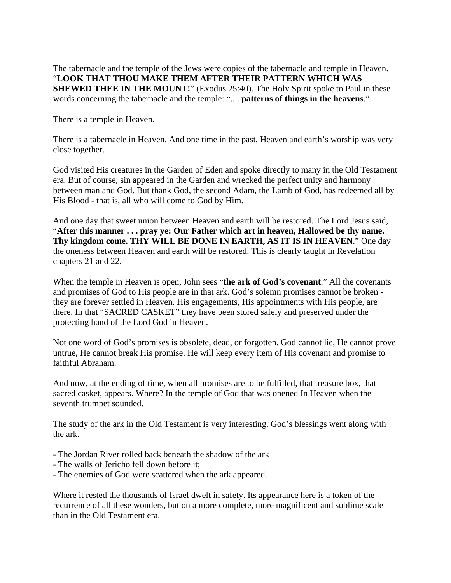The tabernacle and the temple of the Jews were copies of the tabernacle and temple in Heaven. "**LOOK THAT THOU MAKE THEM AFTER THEIR PATTERN WHICH WAS SHEWED THEE IN THE MOUNT!**" (Exodus 25:40). The Holy Spirit spoke to Paul in these words concerning the tabernacle and the temple: ".. . **patterns of things in the heavens**."

There is a temple in Heaven.

There is a tabernacle in Heaven. And one time in the past, Heaven and earth's worship was very close together.

God visited His creatures in the Garden of Eden and spoke directly to many in the Old Testament era. But of course, sin appeared in the Garden and wrecked the perfect unity and harmony between man and God. But thank God, the second Adam, the Lamb of God, has redeemed all by His Blood - that is, all who will come to God by Him.

And one day that sweet union between Heaven and earth will be restored. The Lord Jesus said, "**After this manner . . . pray ye: Our Father which art in heaven, Hallowed be thy name. Thy kingdom come. THY WILL BE DONE IN EARTH, AS IT IS IN HEAVEN**." One day the oneness between Heaven and earth will be restored. This is clearly taught in Revelation chapters 21 and 22.

When the temple in Heaven is open, John sees "**the ark of God's covenant**." All the covenants and promises of God to His people are in that ark. God's solemn promises cannot be broken they are forever settled in Heaven. His engagements, His appointments with His people, are there. In that "SACRED CASKET" they have been stored safely and preserved under the protecting hand of the Lord God in Heaven.

Not one word of God's promises is obsolete, dead, or forgotten. God cannot lie, He cannot prove untrue, He cannot break His promise. He will keep every item of His covenant and promise to faithful Abraham.

And now, at the ending of time, when all promises are to be fulfilled, that treasure box, that sacred casket, appears. Where? In the temple of God that was opened In Heaven when the seventh trumpet sounded.

The study of the ark in the Old Testament is very interesting. God's blessings went along with the ark.

- The Jordan River rolled back beneath the shadow of the ark
- The walls of Jericho fell down before it;
- The enemies of God were scattered when the ark appeared.

Where it rested the thousands of Israel dwelt in safety. Its appearance here is a token of the recurrence of all these wonders, but on a more complete, more magnificent and sublime scale than in the Old Testament era.